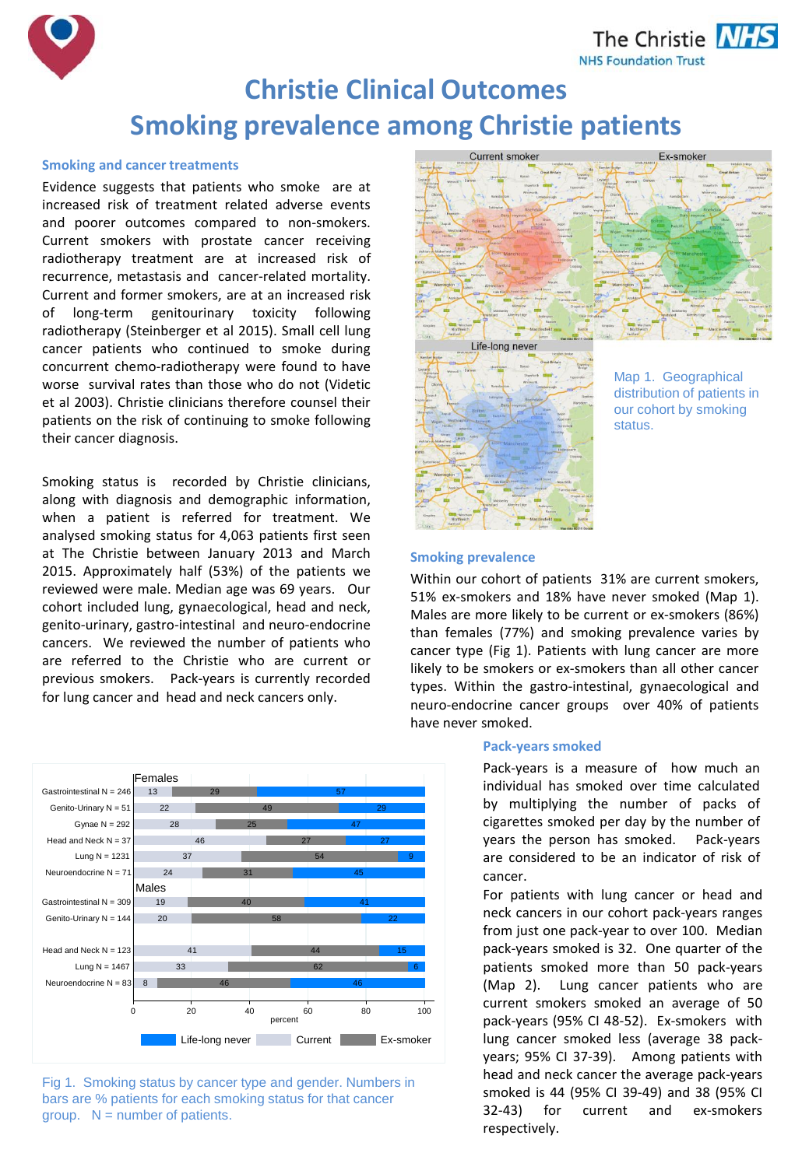The Christie **NHS NHS Foundation Trust** 



# **Christie Clinical Outcomes Smoking prevalence among Christie patients**

## **Smoking and cancer treatments**

Evidence suggests that patients who smoke are at increased risk of treatment related adverse events and poorer outcomes compared to non-smokers. Current smokers with prostate cancer receiving radiotherapy treatment are at increased risk of recurrence, metastasis and cancer-related mortality. Current and former smokers, are at an increased risk of long-term genitourinary toxicity following radiotherapy (Steinberger et al 2015). Small cell lung cancer patients who continued to smoke during concurrent chemo-radiotherapy were found to have worse survival rates than those who do not (Videtic et al 2003). Christie clinicians therefore counsel their patients on the risk of continuing to smoke following their cancer diagnosis.

Smoking status is recorded by Christie clinicians, along with diagnosis and demographic information, when a patient is referred for treatment. We analysed smoking status for 4,063 patients first seen at The Christie between January 2013 and March 2015. Approximately half (53%) of the patients we reviewed were male. Median age was 69 years. Our cohort included lung, gynaecological, head and neck, genito-urinary, gastro-intestinal and neuro-endocrine cancers. We reviewed the number of patients who are referred to the Christie who are current or previous smokers. Pack-years is currently recorded for lung cancer and head and neck cancers only.







# **Smoking prevalence**

Within our cohort of patients 31% are current smokers, 51% ex-smokers and 18% have never smoked (Map 1). Males are more likely to be current or ex-smokers (86%) than females (77%) and smoking prevalence varies by cancer type (Fig 1). Patients with lung cancer are more likely to be smokers or ex-smokers than all other cancer types. Within the gastro-intestinal, gynaecological and neuro-endocrine cancer groups over 40% of patients have never smoked.

## **Pack-years smoked**

Pack-years is a measure of how much an individual has smoked over time calculated by multiplying the number of packs of cigarettes smoked per day by the number of years the person has smoked. Pack-years are considered to be an indicator of risk of cancer.

For patients with lung cancer or head and neck cancers in our cohort pack-years ranges from just one pack-year to over 100. Median pack-years smoked is 32. One quarter of the patients smoked more than 50 pack-years (Map 2). Lung cancer patients who are current smokers smoked an average of 50 pack-years (95% CI 48-52). Ex-smokers with lung cancer smoked less (average 38 packyears; 95% CI 37-39). Among patients with head and neck cancer the average pack-years smoked is 44 (95% CI 39-49) and 38 (95% CI 32-43) for current and ex-smokers respectively.